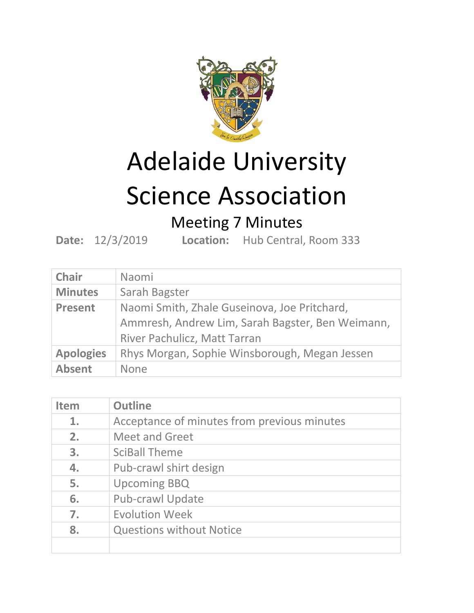

## Adelaide University

## Science Association

## Meeting 7 Minutes

**Date:** 12/3/2019 **Location:** Hub Central, Room 333

| <b>Chair</b>     | Naomi                                            |
|------------------|--------------------------------------------------|
| <b>Minutes</b>   | Sarah Bagster                                    |
| <b>Present</b>   | Naomi Smith, Zhale Guseinova, Joe Pritchard,     |
|                  | Ammresh, Andrew Lim, Sarah Bagster, Ben Weimann, |
|                  | River Pachulicz, Matt Tarran                     |
| <b>Apologies</b> | Rhys Morgan, Sophie Winsborough, Megan Jessen    |
| <b>Absent</b>    | None                                             |

| <b>Item</b> | <b>Outline</b>                              |
|-------------|---------------------------------------------|
| 1.          | Acceptance of minutes from previous minutes |
| 2.          | <b>Meet and Greet</b>                       |
| 3.          | <b>SciBall Theme</b>                        |
| 4.          | Pub-crawl shirt design                      |
| 5.          | <b>Upcoming BBQ</b>                         |
| 6.          | <b>Pub-crawl Update</b>                     |
| 7.          | <b>Evolution Week</b>                       |
| 8.          | <b>Questions without Notice</b>             |
|             |                                             |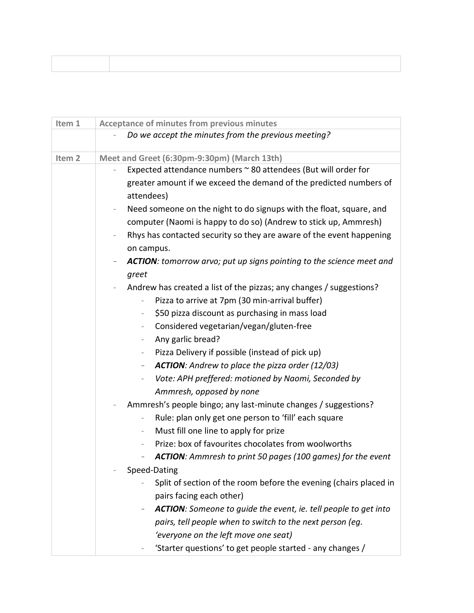| Item 1            | <b>Acceptance of minutes from previous minutes</b>                                              |
|-------------------|-------------------------------------------------------------------------------------------------|
|                   | Do we accept the minutes from the previous meeting?                                             |
|                   |                                                                                                 |
| Item <sub>2</sub> | Meet and Greet (6:30pm-9:30pm) (March 13th)                                                     |
|                   | Expected attendance numbers $\sim$ 80 attendees (But will order for                             |
|                   | greater amount if we exceed the demand of the predicted numbers of                              |
|                   | attendees)                                                                                      |
|                   | Need someone on the night to do signups with the float, square, and<br>$\overline{\phantom{a}}$ |
|                   | computer (Naomi is happy to do so) (Andrew to stick up, Ammresh)                                |
|                   | Rhys has contacted security so they are aware of the event happening                            |
|                   | on campus.                                                                                      |
|                   | <b>ACTION:</b> tomorrow arvo; put up signs pointing to the science meet and                     |
|                   | greet                                                                                           |
|                   | Andrew has created a list of the pizzas; any changes / suggestions?                             |
|                   | Pizza to arrive at 7pm (30 min-arrival buffer)                                                  |
|                   | \$50 pizza discount as purchasing in mass load<br>$\overline{\phantom{a}}$                      |
|                   | Considered vegetarian/vegan/gluten-free<br>$\overline{\phantom{a}}$                             |
|                   | Any garlic bread?<br>$\overline{\phantom{a}}$                                                   |
|                   | Pizza Delivery if possible (instead of pick up)<br>$\overline{\phantom{a}}$                     |
|                   | <b>ACTION:</b> Andrew to place the pizza order (12/03)<br>$\overline{\phantom{a}}$              |
|                   | Vote: APH preffered: motioned by Naomi, Seconded by<br>$\overline{\phantom{0}}$                 |
|                   | Ammresh, opposed by none                                                                        |
|                   | Ammresh's people bingo; any last-minute changes / suggestions?                                  |
|                   | Rule: plan only get one person to 'fill' each square<br>$\overline{\phantom{a}}$                |
|                   | Must fill one line to apply for prize<br>$\overline{\phantom{a}}$                               |
|                   | Prize: box of favourites chocolates from woolworths                                             |
|                   | <b>ACTION:</b> Ammresh to print 50 pages (100 games) for the event<br>$\overline{\phantom{a}}$  |
|                   | Speed-Dating                                                                                    |
|                   | Split of section of the room before the evening (chairs placed in                               |
|                   |                                                                                                 |
|                   | pairs facing each other)                                                                        |
|                   | <b>ACTION:</b> Someone to guide the event, ie. tell people to get into<br>-                     |
|                   | pairs, tell people when to switch to the next person (eg.                                       |
|                   | 'everyone on the left move one seat)                                                            |
|                   | 'Starter questions' to get people started - any changes /                                       |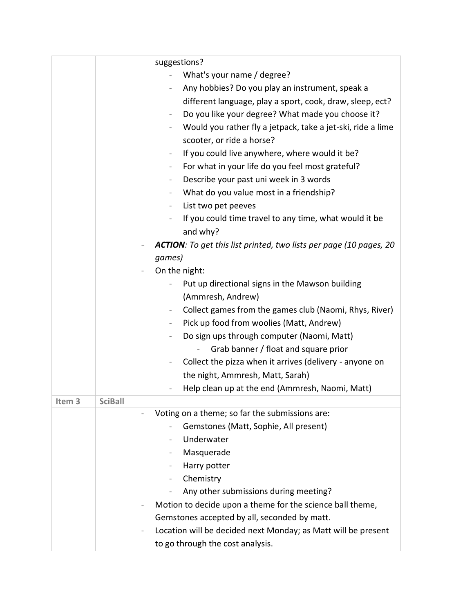|                   | suggestions?                                                                        |
|-------------------|-------------------------------------------------------------------------------------|
|                   | What's your name / degree?<br>$\overline{\phantom{0}}$                              |
|                   | Any hobbies? Do you play an instrument, speak a<br>$\overline{\phantom{0}}$         |
|                   | different language, play a sport, cook, draw, sleep, ect?                           |
|                   | Do you like your degree? What made you choose it?<br>$\overline{\phantom{a}}$       |
|                   | Would you rather fly a jetpack, take a jet-ski, ride a lime<br>$\qquad \qquad -$    |
|                   | scooter, or ride a horse?                                                           |
|                   | If you could live anywhere, where would it be?<br>$\overline{\phantom{a}}$          |
|                   | For what in your life do you feel most grateful?<br>$\overline{\phantom{a}}$        |
|                   | Describe your past uni week in 3 words<br>$\overline{\phantom{a}}$                  |
|                   | What do you value most in a friendship?<br>$\overline{\phantom{0}}$                 |
|                   | List two pet peeves<br>$\overline{\phantom{0}}$                                     |
|                   | If you could time travel to any time, what would it be<br>$\overline{\phantom{0}}$  |
|                   | and why?                                                                            |
|                   | <b>ACTION:</b> To get this list printed, two lists per page (10 pages, 20           |
|                   | games)                                                                              |
|                   | On the night:                                                                       |
|                   | Put up directional signs in the Mawson building                                     |
|                   | (Ammresh, Andrew)                                                                   |
|                   | Collect games from the games club (Naomi, Rhys, River)<br>$\overline{\phantom{a}}$  |
|                   | Pick up food from woolies (Matt, Andrew)                                            |
|                   | Do sign ups through computer (Naomi, Matt)<br>$\overline{\phantom{0}}$              |
|                   | Grab banner / float and square prior                                                |
|                   | Collect the pizza when it arrives (delivery - anyone on<br>$\overline{\phantom{0}}$ |
|                   | the night, Ammresh, Matt, Sarah)                                                    |
|                   | Help clean up at the end (Ammresh, Naomi, Matt)                                     |
| Item <sub>3</sub> | <b>SciBall</b>                                                                      |
|                   | Voting on a theme; so far the submissions are:                                      |
|                   | Gemstones (Matt, Sophie, All present)                                               |
|                   | Underwater                                                                          |
|                   | Masquerade                                                                          |
|                   | Harry potter                                                                        |
|                   | Chemistry                                                                           |
|                   | Any other submissions during meeting?                                               |
|                   | Motion to decide upon a theme for the science ball theme,                           |
|                   | Gemstones accepted by all, seconded by matt.                                        |
|                   | Location will be decided next Monday; as Matt will be present                       |
|                   | to go through the cost analysis.                                                    |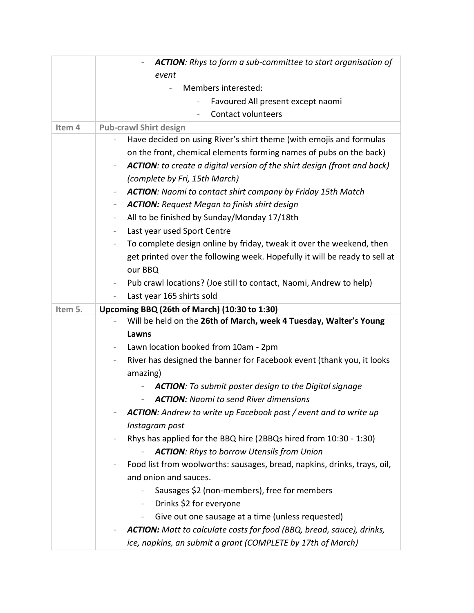|         | ACTION: Rhys to form a sub-committee to start organisation of                                               |
|---------|-------------------------------------------------------------------------------------------------------------|
|         | event                                                                                                       |
|         | Members interested:<br>$\overline{\phantom{a}}$                                                             |
|         | Favoured All present except naomi                                                                           |
|         | <b>Contact volunteers</b>                                                                                   |
| Item 4  | <b>Pub-crawl Shirt design</b>                                                                               |
|         | Have decided on using River's shirt theme (with emojis and formulas                                         |
|         | on the front, chemical elements forming names of pubs on the back)                                          |
|         | <b>ACTION:</b> to create a digital version of the shirt design (front and back)<br>$\overline{\phantom{0}}$ |
|         | (complete by Fri, 15th March)                                                                               |
|         | <b>ACTION:</b> Naomi to contact shirt company by Friday 15th Match<br>$\qquad \qquad -$                     |
|         | <b>ACTION:</b> Request Megan to finish shirt design<br>-                                                    |
|         | All to be finished by Sunday/Monday 17/18th<br>$\overline{\phantom{m}}$                                     |
|         | Last year used Sport Centre<br>$\overline{\phantom{a}}$                                                     |
|         | To complete design online by friday, tweak it over the weekend, then<br>$\overline{\phantom{a}}$            |
|         | get printed over the following week. Hopefully it will be ready to sell at                                  |
|         | our BBQ                                                                                                     |
|         | Pub crawl locations? (Joe still to contact, Naomi, Andrew to help)<br>$\overline{\phantom{a}}$              |
|         | Last year 165 shirts sold<br>$\overline{\phantom{0}}$                                                       |
|         |                                                                                                             |
| Item 5. | Upcoming BBQ (26th of March) (10:30 to 1:30)                                                                |
|         | Will be held on the 26th of March, week 4 Tuesday, Walter's Young                                           |
|         | Lawns                                                                                                       |
|         | Lawn location booked from 10am - 2pm<br>$\overline{\phantom{a}}$                                            |
|         | River has designed the banner for Facebook event (thank you, it looks<br>$\overline{\phantom{0}}$           |
|         | amazing)                                                                                                    |
|         | <b>ACTION:</b> To submit poster design to the Digital signage                                               |
|         | <b>ACTION:</b> Naomi to send River dimensions                                                               |
|         | <b>ACTION:</b> Andrew to write up Facebook post / event and to write up                                     |
|         | Instagram post                                                                                              |
|         | Rhys has applied for the BBQ hire (2BBQs hired from 10:30 - 1:30)                                           |
|         | <b>ACTION:</b> Rhys to borrow Utensils from Union                                                           |
|         | Food list from woolworths: sausages, bread, napkins, drinks, trays, oil,                                    |
|         | and onion and sauces.                                                                                       |
|         | Sausages \$2 (non-members), free for members<br>$\overline{\phantom{0}}$                                    |
|         | Drinks \$2 for everyone<br>$\sim$                                                                           |
|         | Give out one sausage at a time (unless requested)<br>$ \,$                                                  |
|         | <b>ACTION:</b> Matt to calculate costs for food (BBQ, bread, sauce), drinks,                                |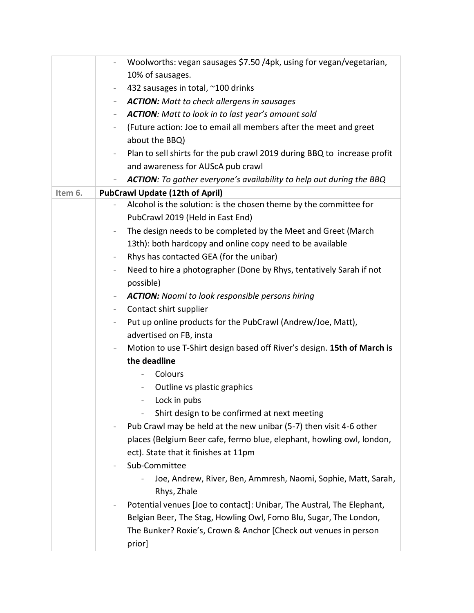|         | Woolworths: vegan sausages \$7.50 /4pk, using for vegan/vegetarian,<br>$\overline{\phantom{a}}$      |
|---------|------------------------------------------------------------------------------------------------------|
|         | 10% of sausages.                                                                                     |
|         | 432 sausages in total, ~100 drinks<br>$\overline{\phantom{a}}$                                       |
|         | <b>ACTION:</b> Matt to check allergens in sausages<br>-                                              |
|         | <b>ACTION:</b> Matt to look in to last year's amount sold<br>$\overline{\phantom{0}}$                |
|         | (Future action: Joe to email all members after the meet and greet<br>$\overline{\phantom{0}}$        |
|         | about the BBQ)                                                                                       |
|         | Plan to sell shirts for the pub crawl 2019 during BBQ to increase profit<br>$\overline{\phantom{a}}$ |
|         | and awareness for AUScA pub crawl                                                                    |
|         | <b>ACTION:</b> To gather everyone's availability to help out during the BBQ                          |
| Item 6. | <b>PubCrawl Update (12th of April)</b>                                                               |
|         | Alcohol is the solution: is the chosen theme by the committee for                                    |
|         | PubCrawl 2019 (Held in East End)                                                                     |
|         | The design needs to be completed by the Meet and Greet (March<br>$\overline{\phantom{a}}$            |
|         | 13th): both hardcopy and online copy need to be available                                            |
|         | Rhys has contacted GEA (for the unibar)<br>$\overline{\phantom{a}}$                                  |
|         | Need to hire a photographer (Done by Rhys, tentatively Sarah if not<br>$\overline{\phantom{a}}$      |
|         | possible)                                                                                            |
|         | <b>ACTION:</b> Naomi to look responsible persons hiring<br>-                                         |
|         | Contact shirt supplier<br>$\overline{\phantom{a}}$                                                   |
|         | Put up online products for the PubCrawl (Andrew/Joe, Matt),<br>$\overline{\phantom{0}}$              |
|         | advertised on FB, insta                                                                              |
|         | Motion to use T-Shirt design based off River's design. 15th of March is<br>-                         |
|         | the deadline                                                                                         |
|         | Colours                                                                                              |
|         | Outline vs plastic graphics<br>$\sim$                                                                |
|         | - Lock in pubs                                                                                       |
|         | Shirt design to be confirmed at next meeting<br>$\overline{a}$                                       |
|         | Pub Crawl may be held at the new unibar (5-7) then visit 4-6 other                                   |
|         | places (Belgium Beer cafe, fermo blue, elephant, howling owl, london,                                |
|         | ect). State that it finishes at 11pm                                                                 |
|         | Sub-Committee<br>$\overline{\phantom{0}}$                                                            |
|         | Joe, Andrew, River, Ben, Ammresh, Naomi, Sophie, Matt, Sarah,                                        |
|         | Rhys, Zhale                                                                                          |
|         | Potential venues [Joe to contact]: Unibar, The Austral, The Elephant,                                |
|         | Belgian Beer, The Stag, Howling Owl, Fomo Blu, Sugar, The London,                                    |
|         | The Bunker? Roxie's, Crown & Anchor [Check out venues in person                                      |
|         | prior]                                                                                               |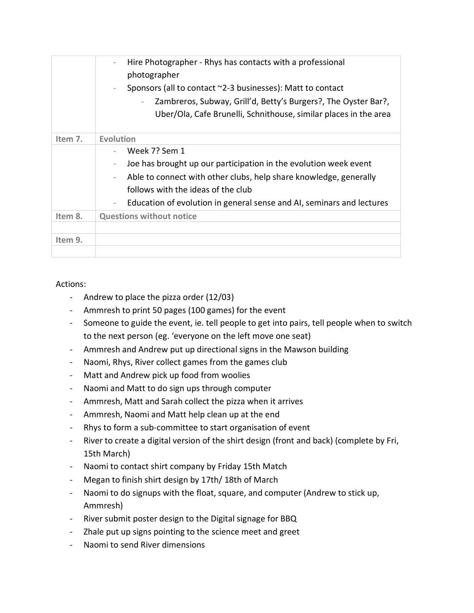|         | Hire Photographer - Rhys has contacts with a professional<br>$\overline{\phantom{0}}$<br>photographer<br>Sponsors (all to contact ~2-3 businesses): Matt to contact<br>$\overline{\phantom{a}}$<br>Zambreros, Subway, Grill'd, Betty's Burgers?, The Oyster Bar?,<br>Uber/Ola, Cafe Brunelli, Schnithouse, similar places in the area |
|---------|---------------------------------------------------------------------------------------------------------------------------------------------------------------------------------------------------------------------------------------------------------------------------------------------------------------------------------------|
| Item 7. | <b>Evolution</b>                                                                                                                                                                                                                                                                                                                      |
|         | Week 7? Sem 1<br>Joe has brought up our participation in the evolution week event<br>$\overline{\phantom{a}}$<br>Able to connect with other clubs, help share knowledge, generally<br>follows with the ideas of the club<br>Education of evolution in general sense and AI, seminars and lectures<br>$\overline{\phantom{a}}$         |
| Item 8. | <b>Questions without notice</b>                                                                                                                                                                                                                                                                                                       |
|         |                                                                                                                                                                                                                                                                                                                                       |
| Item 9. |                                                                                                                                                                                                                                                                                                                                       |
|         |                                                                                                                                                                                                                                                                                                                                       |

## Actions:

- Andrew to place the pizza order (12/03)
- Ammresh to print 50 pages (100 games) for the event
- Someone to guide the event, ie. tell people to get into pairs, tell people when to switch to the next person (eg. 'everyone on the left move one seat)
- Ammresh and Andrew put up directional signs in the Mawson building
- Naomi, Rhys, River collect games from the games club
- Matt and Andrew pick up food from woolies
- Naomi and Matt to do sign ups through computer
- Ammresh, Matt and Sarah collect the pizza when it arrives
- Ammresh, Naomi and Matt help clean up at the end
- Rhys to form a sub-committee to start organisation of event
- River to create a digital version of the shirt design (front and back) (complete by Fri, 15th March)
- Naomi to contact shirt company by Friday 15th Match
- Megan to finish shirt design by 17th/ 18th of March
- Naomi to do signups with the float, square, and computer (Andrew to stick up, Ammresh)
- River submit poster design to the Digital signage for BBQ
- Zhale put up signs pointing to the science meet and greet
- Naomi to send River dimensions